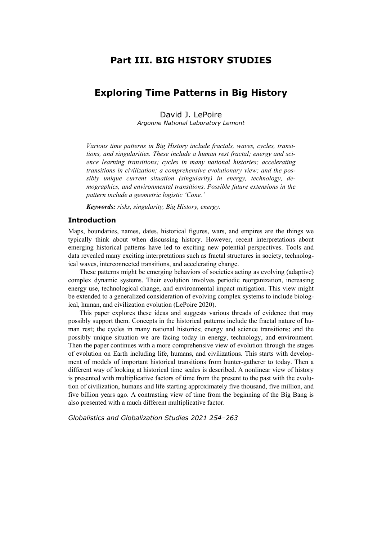# **Part III. BIG HISTORY STUDIES**

# **Exploring Time Patterns in Big History**

David J. LePoire *Argonne National Laboratory Lemont* 

*Various time patterns in Big History include fractals, waves, cycles, transitions, and singularities. These include a human rest fractal; energy and science learning transitions; cycles in many national histories; accelerating transitions in civilization; a comprehensive evolutionary view; and the possibly unique current situation (singularity) in energy, technology, demographics, and environmental transitions. Possible future extensions in the pattern include a geometric logistic 'Cone.'* 

*Keywords: risks, singularity, Big History, energy.* 

## **Introduction**

Maps, boundaries, names, dates, historical figures, wars, and empires are the things we typically think about when discussing history. However, recent interpretations about emerging historical patterns have led to exciting new potential perspectives. Tools and data revealed many exciting interpretations such as fractal structures in society, technological waves, interconnected transitions, and accelerating change.

These patterns might be emerging behaviors of societies acting as evolving (adaptive) complex dynamic systems. Their evolution involves periodic reorganization, increasing energy use, technological change, and environmental impact mitigation. This view might be extended to a generalized consideration of evolving complex systems to include biological, human, and civilization evolution (LePoire 2020).

This paper explores these ideas and suggests various threads of evidence that may possibly support them. Concepts in the historical patterns include the fractal nature of human rest; the cycles in many national histories; energy and science transitions; and the possibly unique situation we are facing today in energy, technology, and environment. Then the paper continues with a more comprehensive view of evolution through the stages of evolution on Earth including life, humans, and civilizations. This starts with development of models of important historical transitions from hunter-gatherer to today. Then a different way of looking at historical time scales is described. A nonlinear view of history is presented with multiplicative factors of time from the present to the past with the evolution of civilization, humans and life starting approximately five thousand, five million, and five billion years ago. A contrasting view of time from the beginning of the Big Bang is also presented with a much different multiplicative factor.

*Globalistics and Globalization Studies 2021 254–263*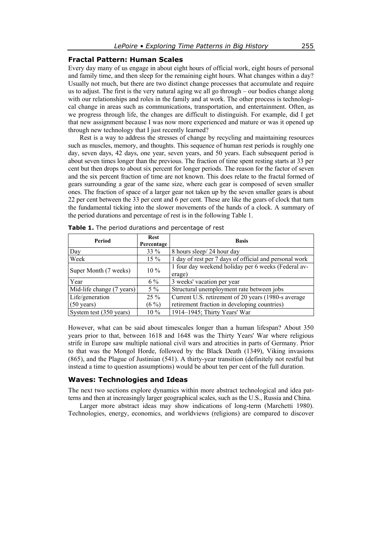## **Fractal Pattern: Human Scales**

Every day many of us engage in about eight hours of official work, eight hours of personal and family time, and then sleep for the remaining eight hours. What changes within a day? Usually not much, but there are two distinct change processes that accumulate and require us to adjust. The first is the very natural aging we all go through – our bodies change along with our relationships and roles in the family and at work. The other process is technological change in areas such as communications, transportation, and entertainment. Often, as we progress through life, the changes are difficult to distinguish. For example, did I get that new assignment because I was now more experienced and mature or was it opened up through new technology that I just recently learned?

Rest is a way to address the stresses of change by recycling and maintaining resources such as muscles, memory, and thoughts. This sequence of human rest periods is roughly one day, seven days, 42 days, one year, seven years, and 50 years. Each subsequent period is about seven times longer than the previous. The fraction of time spent resting starts at 33 per cent but then drops to about six percent for longer periods. The reason for the factor of seven and the six percent fraction of time are not known. This does relate to the fractal formed of gears surrounding a gear of the same size, where each gear is composed of seven smaller ones. The fraction of space of a larger gear not taken up by the seven smaller gears is about 22 per cent between the 33 per cent and 6 per cent. These are like the gears of clock that turn the fundamental ticking into the slower movements of the hands of a clock. A summary of the period durations and percentage of rest is in the following Table 1.

| Period                    | <b>Rest</b><br>Percentage | <b>Basis</b>                                           |
|---------------------------|---------------------------|--------------------------------------------------------|
| Day                       | $33\%$                    | 8 hours sleep/ 24 hour day                             |
| Week                      | $15\%$                    | 1 day of rest per 7 days of official and personal work |
| Super Month (7 weeks)     | $10\%$                    | 1 four day weekend holiday per 6 weeks (Federal av-    |
|                           |                           | erage)                                                 |
| Year                      | $6\%$                     | 3 weeks' vacation per year                             |
| Mid-life change (7 years) | $5\%$                     | Structural unemployment rate between jobs              |
| Life/generation           | $25\%$                    | Current U.S. retirement of 20 years (1980-s average    |
| $(50 \text{ years})$      | $(6\%)$                   | retirement fraction in developing countries)           |
| System test (350 years)   | $10\%$                    | 1914–1945; Thirty Years' War                           |

**Table 1.** The period durations and percentage of rest

However, what can be said about timescales longer than a human lifespan? About 350 years prior to that, between 1618 and 1648 was the Thirty Years' War where religious strife in Europe saw multiple national civil wars and atrocities in parts of Germany. Prior to that was the Mongol Horde, followed by the Black Death (1349), Viking invasions (865), and the Plague of Justinian (541). A thirty-year transition (definitely not restful but instead a time to question assumptions) would be about ten per cent of the full duration.

## **Waves: Technologies and Ideas**

The next two sections explore dynamics within more abstract technological and idea patterns and then at increasingly larger geographical scales, such as the U.S., Russia and China.

Larger more abstract ideas may show indications of long-term (Marchetti 1980). Technologies, energy, economics, and worldviews (religions) are compared to discover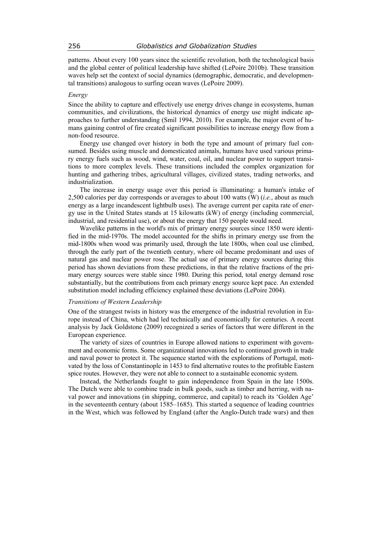patterns. About every 100 years since the scientific revolution, both the technological basis and the global center of political leadership have shifted (LePoire 2010b). These transition waves help set the context of social dynamics (demographic, democratic, and developmental transitions) analogous to surfing ocean waves (LePoire 2009).

### *Energy*

Since the ability to capture and effectively use energy drives change in ecosystems, human communities, and civilizations, the historical dynamics of energy use might indicate approaches to further understanding (Smil 1994, 2010). For example, the major event of humans gaining control of fire created significant possibilities to increase energy flow from a non-food resource.

Energy use changed over history in both the type and amount of primary fuel consumed. Besides using muscle and domesticated animals, humans have used various primary energy fuels such as wood, wind, water, coal, oil, and nuclear power to support transitions to more complex levels. These transitions included the complex organization for hunting and gathering tribes, agricultural villages, civilized states, trading networks, and industrialization.

The increase in energy usage over this period is illuminating: a human's intake of 2,500 calories per day corresponds or averages to about 100 watts (W) (*i.e.*, about as much energy as a large incandescent lightbulb uses). The average current per capita rate of energy use in the United States stands at 15 kilowatts (kW) of energy (including commercial, industrial, and residential use), or about the energy that 150 people would need.

Wavelike patterns in the world's mix of primary energy sources since 1850 were identified in the mid-1970s. The model accounted for the shifts in primary energy use from the mid-1800s when wood was primarily used, through the late 1800s, when coal use climbed, through the early part of the twentieth century, where oil became predominant and uses of natural gas and nuclear power rose. The actual use of primary energy sources during this period has shown deviations from these predictions, in that the relative fractions of the primary energy sources were stable since 1980. During this period, total energy demand rose substantially, but the contributions from each primary energy source kept pace. An extended substitution model including efficiency explained these deviations (LePoire 2004).

#### *Transitions of Western Leadership*

One of the strangest twists in history was the emergence of the industrial revolution in Europe instead of China, which had led technically and economically for centuries. A recent analysis by Jack Goldstone (2009) recognized a series of factors that were different in the European experience.

The variety of sizes of countries in Europe allowed nations to experiment with government and economic forms. Some organizational innovations led to continued growth in trade and naval power to protect it. The sequence started with the explorations of Portugal, motivated by the loss of Constantinople in 1453 to find alternative routes to the profitable Eastern spice routes. However, they were not able to connect to a sustainable economic system.

Instead, the Netherlands fought to gain independence from Spain in the late 1500s. The Dutch were able to combine trade in bulk goods, such as timber and herring, with naval power and innovations (in shipping, commerce, and capital) to reach its 'Golden Age' in the seventeenth century (about 1585–1685). This started a sequence of leading countries in the West, which was followed by England (after the Anglo-Dutch trade wars) and then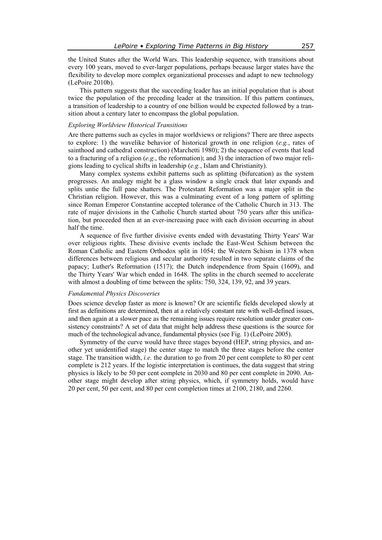the United States after the World Wars. This leadership sequence, with transitions about every 100 years, moved to ever-larger populations, perhaps because larger states have the flexibility to develop more complex organizational processes and adapt to new technology (LePoire 2010b).

This pattern suggests that the succeeding leader has an initial population that is about twice the population of the preceding leader at the transition. If this pattern continues, a transition of leadership to a country of one billion would be expected followed by a transition about a century later to encompass the global population.

## *Exploring Worldview Historical Transitions*

Are there patterns such as cycles in major worldviews or religions? There are three aspects to explore: 1) the wavelike behavior of historical growth in one religion (*e.g.*, rates of sainthood and cathedral construction) (Marchetti 1980); 2) the sequence of events that lead to a fracturing of a religion (*e.g.*, the reformation); and 3) the interaction of two major religions leading to cyclical shifts in leadership (*e.g.*, Islam and Christianity).

Many complex systems exhibit patterns such as splitting (bifurcation) as the system progresses. An analogy might be a glass window a single crack that later expands and splits untie the full pane shatters. The Protestant Reformation was a major split in the Christian religion. However, this was a culminating event of a long pattern of splitting since Roman Emperor Constantine accepted tolerance of the Catholic Church in 313. The rate of major divisions in the Catholic Church started about 750 years after this unification, but proceeded then at an ever-increasing pace with each division occurring in about half the time.

A sequence of five further divisive events ended with devastating Thirty Years' War over religious rights. These divisive events include the East-West Schism between the Roman Catholic and Eastern Orthodox split in 1054; the Western Schism in 1378 when differences between religious and secular authority resulted in two separate claims of the papacy; Luther's Reformation (1517); the Dutch independence from Spain (1609), and the Thirty Years' War which ended in 1648. The splits in the church seemed to accelerate with almost a doubling of time between the splits: 750, 324, 139, 92, and 39 years.

#### *Fundamental Physics Discoveries*

Does science develop faster as more is known? Or are scientific fields developed slowly at first as definitions are determined, then at a relatively constant rate with well-defined issues, and then again at a slower pace as the remaining issues require resolution under greater consistency constraints? A set of data that might help address these questions is the source for much of the technological advance, fundamental physics (see Fig. 1) (LePoire 2005).

Symmetry of the curve would have three stages beyond (HEP, string physics, and another yet unidentified stage) the center stage to match the three stages before the center stage. The transition width, *i.e.* the duration to go from 20 per cent complete to 80 per cent complete is 212 years. If the logistic interpretation is continues, the data suggest that string physics is likely to be 50 per cent complete in 2030 and 80 per cent complete in 2090. Another stage might develop after string physics, which, if symmetry holds, would have 20 per cent, 50 per cent, and 80 per cent completion times at 2100, 2180, and 2260.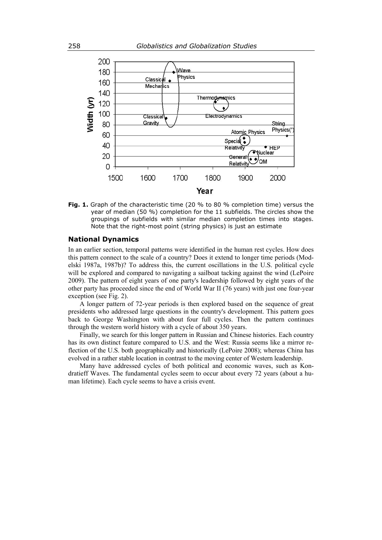

**Fig. 1.** Graph of the characteristic time (20 % to 80 % completion time) versus the year of median (50 %) completion for the 11 subfields. The circles show the groupings of subfields with similar median completion times into stages. Note that the right-most point (string physics) is just an estimate

#### **National Dynamics**

In an earlier section, temporal patterns were identified in the human rest cycles. How does this pattern connect to the scale of a country? Does it extend to longer time periods (Modelski 1987a, 1987b)? To address this, the current oscillations in the U.S. political cycle will be explored and compared to navigating a sailboat tacking against the wind (LePoire 2009). The pattern of eight years of one party's leadership followed by eight years of the other party has proceeded since the end of World War II (76 years) with just one four-year exception (see Fig. 2).

A longer pattern of 72-year periods is then explored based on the sequence of great presidents who addressed large questions in the country's development. This pattern goes back to George Washington with about four full cycles. Then the pattern continues through the western world history with a cycle of about 350 years.

Finally, we search for this longer pattern in Russian and Chinese histories. Each country has its own distinct feature compared to U.S. and the West: Russia seems like a mirror reflection of the U.S. both geographically and historically (LePoire 2008); whereas China has evolved in a rather stable location in contrast to the moving center of Western leadership.

Many have addressed cycles of both political and economic waves, such as Kondratieff Waves. The fundamental cycles seem to occur about every 72 years (about a human lifetime). Each cycle seems to have a crisis event.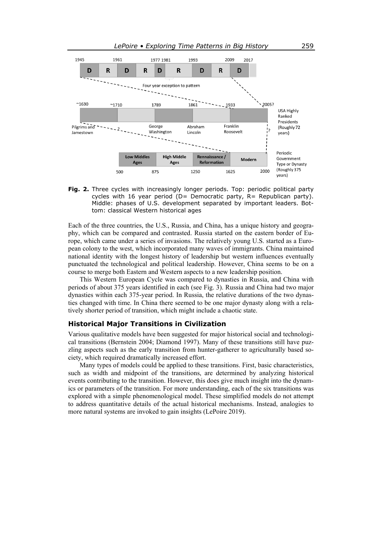

**Fig. 2.** Three cycles with increasingly longer periods. Top: periodic political party cycles with 16 year period ( $D=$  Democratic party,  $R=$  Republican party). Middle: phases of U.S. development separated by important leaders. Bottom: classical Western historical ages

Each of the three countries, the U.S., Russia, and China, has a unique history and geography, which can be compared and contrasted. Russia started on the eastern border of Europe, which came under a series of invasions. The relatively young U.S. started as a European colony to the west, which incorporated many waves of immigrants. China maintained national identity with the longest history of leadership but western influences eventually punctuated the technological and political leadership. However, China seems to be on a course to merge both Eastern and Western aspects to a new leadership position.

This Western European Cycle was compared to dynasties in Russia, and China with periods of about 375 years identified in each (see Fig. 3). Russia and China had two major dynasties within each 375-year period. In Russia, the relative durations of the two dynasties changed with time. In China there seemed to be one major dynasty along with a relatively shorter period of transition, which might include a chaotic state.

### **Historical Major Transitions in Civilization**

Various qualitative models have been suggested for major historical social and technological transitions (Bernstein 2004; Diamond 1997). Many of these transitions still have puzzling aspects such as the early transition from hunter-gatherer to agriculturally based society, which required dramatically increased effort.

Many types of models could be applied to these transitions. First, basic characteristics, such as width and midpoint of the transitions, are determined by analyzing historical events contributing to the transition. However, this does give much insight into the dynamics or parameters of the transition. For more understanding, each of the six transitions was explored with a simple phenomenological model. These simplified models do not attempt to address quantitative details of the actual historical mechanisms. Instead, analogies to more natural systems are invoked to gain insights (LePoire 2019).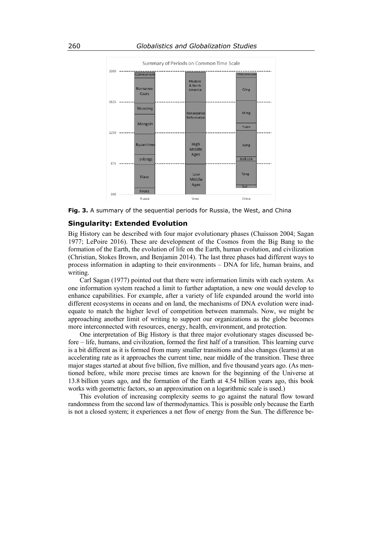

**Fig. 3.** A summary of the sequential periods for Russia, the West, and China

## **Singularity: Extended Evolution**

Big History can be described with four major evolutionary phases (Chaisson 2004; Sagan 1977; LePoire 2016). These are development of the Cosmos from the Big Bang to the formation of the Earth, the evolution of life on the Earth, human evolution, and civilization (Christian, Stokes Brown, and Benjamin 2014). The last three phases had different ways to process information in adapting to their environments – DNA for life, human brains, and writing.

Carl Sagan (1977) pointed out that there were information limits with each system. As one information system reached a limit to further adaptation, a new one would develop to enhance capabilities. For example, after a variety of life expanded around the world into different ecosystems in oceans and on land, the mechanisms of DNA evolution were inadequate to match the higher level of competition between mammals. Now, we might be approaching another limit of writing to support our organizations as the globe becomes more interconnected with resources, energy, health, environment, and protection.

One interpretation of Big History is that three major evolutionary stages discussed before – life, humans, and civilization, formed the first half of a transition. This learning curve is a bit different as it is formed from many smaller transitions and also changes (learns) at an accelerating rate as it approaches the current time, near middle of the transition. These three major stages started at about five billion, five million, and five thousand years ago. (As mentioned before, while more precise times are known for the beginning of the Universe at 13.8 billion years ago, and the formation of the Earth at 4.54 billion years ago, this book works with geometric factors, so an approximation on a logarithmic scale is used.)

This evolution of increasing complexity seems to go against the natural flow toward randomness from the second law of thermodynamics. This is possible only because the Earth is not a closed system; it experiences a net flow of energy from the Sun. The difference be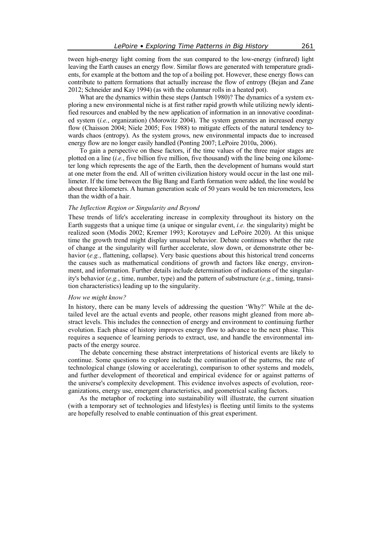tween high-energy light coming from the sun compared to the low-energy (infrared) light leaving the Earth causes an energy flow. Similar flows are generated with temperature gradients, for example at the bottom and the top of a boiling pot. However, these energy flows can contribute to pattern formations that actually increase the flow of entropy (Bejan and Zane 2012; Schneider and Kay 1994) (as with the columnar rolls in a heated pot).

What are the dynamics within these steps (Jantsch 1980)? The dynamics of a system exploring a new environmental niche is at first rather rapid growth while utilizing newly identified resources and enabled by the new application of information in an innovative coordinated system (*i.e.*, organization) (Morowitz 2004). The system generates an increased energy flow (Chaisson 2004; Niele 2005; Fox 1988) to mitigate effects of the natural tendency towards chaos (entropy). As the system grows, new environmental impacts due to increased energy flow are no longer easily handled (Ponting 2007; LePoire 2010a, 2006).

To gain a perspective on these factors, if the time values of the three major stages are plotted on a line (*i.e.*, five billion five million, five thousand) with the line being one kilometer long which represents the age of the Earth, then the development of humans would start at one meter from the end. All of written civilization history would occur in the last one millimeter. If the time between the Big Bang and Earth formation were added, the line would be about three kilometers. A human generation scale of 50 years would be ten micrometers, less than the width of a hair.

### *The Inflection Region or Singularity and Beyond*

These trends of life's accelerating increase in complexity throughout its history on the Earth suggests that a unique time (a unique or singular event, *i.e.* the singularity) might be realized soon (Modis 2002; Kremer 1993; Korotayev and LePoire 2020). At this unique time the growth trend might display unusual behavior. Debate continues whether the rate of change at the singularity will further accelerate, slow down, or demonstrate other behavior (*e.g.*, flattening, collapse). Very basic questions about this historical trend concerns the causes such as mathematical conditions of growth and factors like energy, environment, and information. Further details include determination of indications of the singularity's behavior (*e.g.*, time, number, type) and the pattern of substructure (*e.g.*, timing, transition characteristics) leading up to the singularity.

#### *How we might know?*

In history, there can be many levels of addressing the question 'Why?' While at the detailed level are the actual events and people, other reasons might gleaned from more abstract levels. This includes the connection of energy and environment to continuing further evolution. Each phase of history improves energy flow to advance to the next phase. This requires a sequence of learning periods to extract, use, and handle the environmental impacts of the energy source.

The debate concerning these abstract interpretations of historical events are likely to continue. Some questions to explore include the continuation of the patterns, the rate of technological change (slowing or accelerating), comparison to other systems and models, and further development of theoretical and empirical evidence for or against patterns of the universe's complexity development. This evidence involves aspects of evolution, reorganizations, energy use, emergent characteristics, and geometrical scaling factors.

As the metaphor of rocketing into sustainability will illustrate, the current situation (with a temporary set of technologies and lifestyles) is fleeting until limits to the systems are hopefully resolved to enable continuation of this great experiment.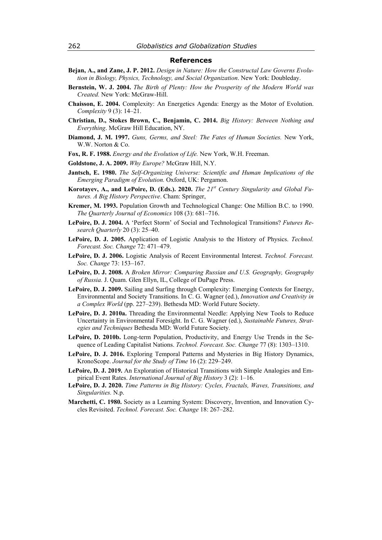#### **References**

- **Bejan, A., and Zane, J. P. 2012.** *Design in Nature: How the Constructal Law Governs Evolution in Biology, Physics, Technology, and Social Organization*. New York: Doubleday.
- **Bernstein, W. J. 2004.** *The Birth of Plenty: How the Prosperity of the Modern World was Created.* New York: McGraw-Hill.
- **Chaisson, E. 2004.** Complexity: An Energetics Agenda: Energy as the Motor of Evolution. *Complexity* 9 (3): 14–21.
- **Christian, D., Stokes Brown, C., Benjamin, C. 2014.** *Big History: Between Nothing and Everything*. McGraw Hill Education, NY.
- **Diamond, J. M. 1997.** *Guns, Germs, and Steel: The Fates of Human Societies.* New York, W.W. Norton & Co.
- **Fox, R. F. 1988.** *Energy and the Evolution of Life.* New York, W.H. Freeman.
- **Goldstone, J. A. 2009.** *Why Europe?* McGraw Hill, N.Y.
- **Jantsch, E. 1980.** *The Self-Organizing Universe: Scientific and Human Implications of the Emerging Paradigm of Evolution.* Oxford, UK: Pergamon.
- **Korotayev, A., and LePoire, D. (Eds.). 2020.** *The 21st Century Singularity and Global Futures. A Big History Perspective*. Cham: Springer,
- **Kremer, M. 1993.** Population Growth and Technological Change: One Million B.C. to 1990. *The Quarterly Journal of Economics* 108 (3): 681–716.
- **LePoire, D. J. 2004.** A 'Perfect Storm' of Social and Technological Transitions? *Futures Research Quarterly* 20 (3): 25–40.
- **LePoire, D. J. 2005.** Application of Logistic Analysis to the History of Physics. *Technol. Forecast. Soc. Change* 72: 471–479.
- **LePoire, D. J. 2006.** Logistic Analysis of Recent Environmental Interest. *Technol. Forecast. Soc. Change* 73: 153–167.
- **LePoire, D. J. 2008.** A *Broken Mirror: Comparing Russian and U.S. Geography, Geography of Russia.* J. Quam. Glen Ellyn, IL, College of DuPage Press.
- **LePoire, D. J. 2009.** Sailing and Surfing through Complexity: Emerging Contexts for Energy, Environmental and Society Transitions. In C. G. Wagner (ed.), *Innovation and Creativity in a Complex World* (pp. 227–239). Bethesda MD: World Future Society.
- **LePoire, D. J. 2010a.** Threading the Environmental Needle: Applying New Tools to Reduce Uncertainty in Environmental Foresight. In C. G. Wagner (ed.), *Sustainable Futures, Strategies and Techniques* Bethesda MD: World Future Society.
- **LePoire, D. 2010b.** Long-term Population, Productivity, and Energy Use Trends in the Sequence of Leading Capitalist Nations. *Technol. Forecast. Soc. Change* 77 (8): 1303–1310.
- **LePoire, D. J. 2016.** Exploring Temporal Patterns and Mysteries in Big History Dynamics, KronoScope. *Journal for the Study of Time* 16 (2): 229–249.
- **LePoire, D. J. 2019.** An Exploration of Historical Transitions with Simple Analogies and Empirical Event Rates. *International Journal of Big History* 3 (2): 1–16.
- **LePoire, D. J. 2020.** *Time Patterns in Big History: Cycles, Fractals, Waves, Transitions, and Singularities.* N.p.
- **Marchetti, C. 1980.** Society as a Learning System: Discovery, Invention, and Innovation Cycles Revisited. *Technol. Forecast. Soc. Change* 18: 267–282.